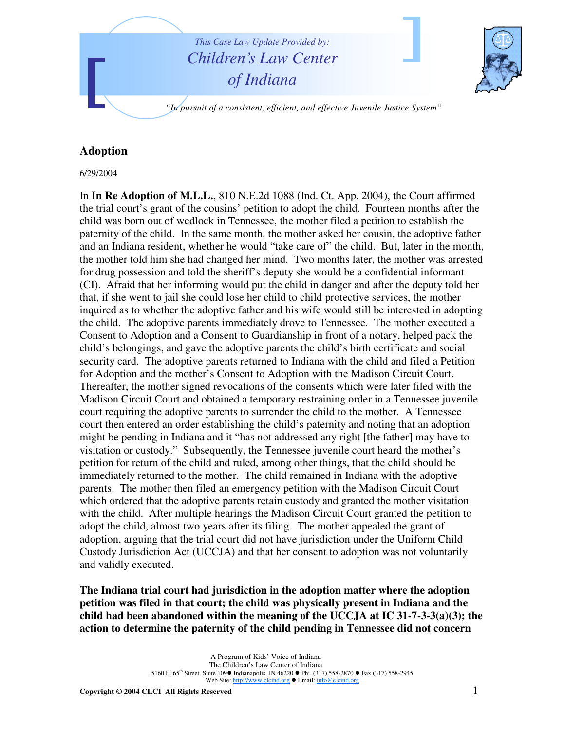

## **Adoption**

6/29/2004

In **In Re Adoption of M.L.L.**, 810 N.E.2d 1088 (Ind. Ct. App. 2004), the Court affirmed the trial court's grant of the cousins' petition to adopt the child. Fourteen months after the child was born out of wedlock in Tennessee, the mother filed a petition to establish the paternity of the child. In the same month, the mother asked her cousin, the adoptive father and an Indiana resident, whether he would "take care of" the child. But, later in the month, the mother told him she had changed her mind. Two months later, the mother was arrested for drug possession and told the sheriff's deputy she would be a confidential informant (CI). Afraid that her informing would put the child in danger and after the deputy told her that, if she went to jail she could lose her child to child protective services, the mother inquired as to whether the adoptive father and his wife would still be interested in adopting the child. The adoptive parents immediately drove to Tennessee. The mother executed a Consent to Adoption and a Consent to Guardianship in front of a notary, helped pack the child's belongings, and gave the adoptive parents the child's birth certificate and social security card. The adoptive parents returned to Indiana with the child and filed a Petition for Adoption and the mother's Consent to Adoption with the Madison Circuit Court. Thereafter, the mother signed revocations of the consents which were later filed with the Madison Circuit Court and obtained a temporary restraining order in a Tennessee juvenile court requiring the adoptive parents to surrender the child to the mother. A Tennessee court then entered an order establishing the child's paternity and noting that an adoption might be pending in Indiana and it "has not addressed any right [the father] may have to visitation or custody." Subsequently, the Tennessee juvenile court heard the mother's petition for return of the child and ruled, among other things, that the child should be immediately returned to the mother. The child remained in Indiana with the adoptive parents. The mother then filed an emergency petition with the Madison Circuit Court which ordered that the adoptive parents retain custody and granted the mother visitation with the child. After multiple hearings the Madison Circuit Court granted the petition to adopt the child, almost two years after its filing. The mother appealed the grant of adoption, arguing that the trial court did not have jurisdiction under the Uniform Child Custody Jurisdiction Act (UCCJA) and that her consent to adoption was not voluntarily and validly executed.

**The Indiana trial court had jurisdiction in the adoption matter where the adoption petition was filed in that court; the child was physically present in Indiana and the child had been abandoned within the meaning of the UCCJA at IC 31-7-3-3(a)(3); the action to determine the paternity of the child pending in Tennessee did not concern**